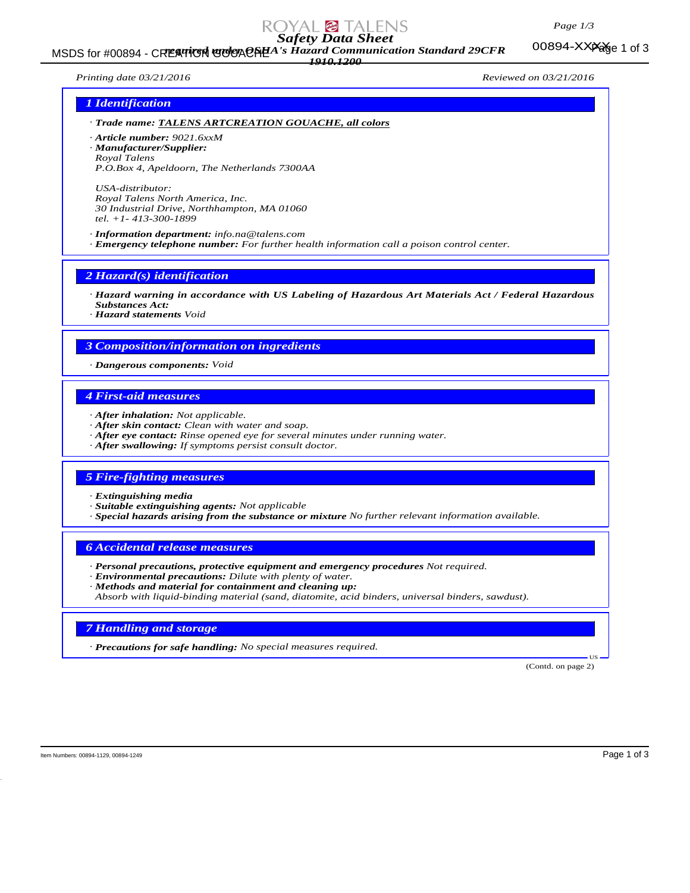#### *Page 1/3*

00894-XXXXee 1 of 3

# *Safety Data Sheet*

MSDS for #00894 - CREATICH GOUACHEA's Hazard Communication Standard 29CFR 00894-XXPage 1 of 3 *1910.1200*

*Printing date 03/21/2016 Reviewed on 03/21/2016*

### *1 Identification*

- *· Trade name: TALENS ARTCREATION GOUACHE, all colors*
- *· Article number: 9021.6xxM*
- *· Manufacturer/Supplier: Royal Talens*
- *P.O.Box 4, Apeldoorn, The Netherlands 7300AA*

*USA-distributor: Royal Talens North America, Inc. 30 Industrial Drive, Northhampton, MA 01060 tel. +1- 413-300-1899*

*· Information department: info.na@talens.com · Emergency telephone number: For further health information call a poison control center.*

### *2 Hazard(s) identification*

- *· Hazard warning in accordance with US Labeling of Hazardous Art Materials Act / Federal Hazardous Substances Act:*
- *· Hazard statements Void*

## *3 Composition/information on ingredients*

*· Dangerous components: Void*

# *4 First-aid measures*

- *· After inhalation: Not applicable.*
- *· After skin contact: Clean with water and soap.*
- *· After eye contact: Rinse opened eye for several minutes under running water.*
- *· After swallowing: If symptoms persist consult doctor.*

#### *5 Fire-fighting measures*

- *· Extinguishing media*
- *· Suitable extinguishing agents: Not applicable*
- *· Special hazards arising from the substance or mixture No further relevant information available.*

#### *6 Accidental release measures*

- *· Personal precautions, protective equipment and emergency procedures Not required.*
- *· Environmental precautions: Dilute with plenty of water.*

*· Methods and material for containment and cleaning up: Absorb with liquid-binding material (sand, diatomite, acid binders, universal binders, sawdust).*

#### *7 Handling and storage*

*· Precautions for safe handling: No special measures required.*

 US (Contd. on page 2)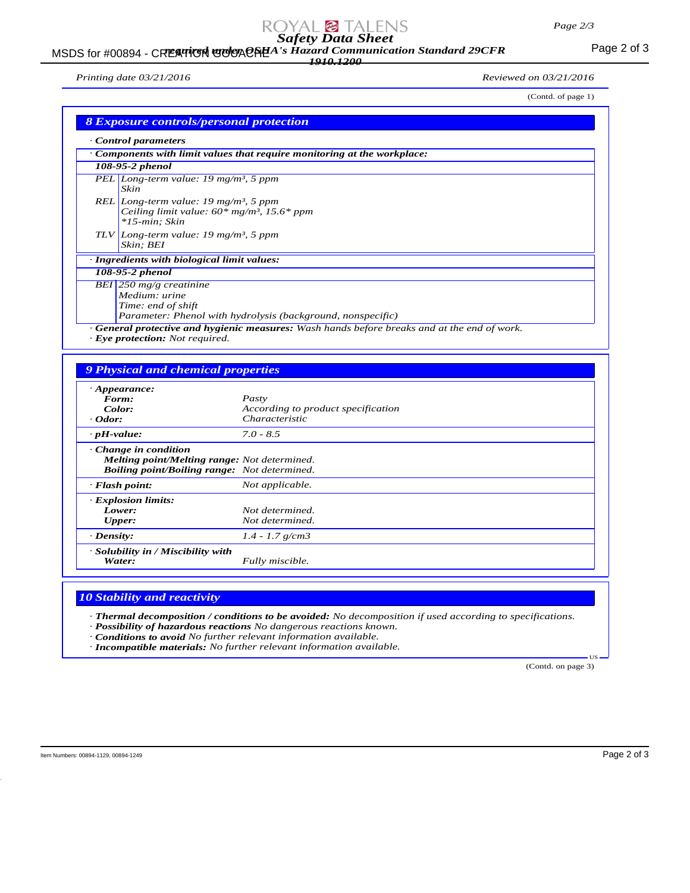# *Safety Data Sheet*

### MSDS for #00894 - CREATICH GOUACHEA's Hazard Communication Standard 29CFR<br>MSDS for #00894 - CREATICH GOUACHEA's Hazard Communication Standard 29CFR *1910.1200*

*Printing date 03/21/2016 Reviewed on 03/21/2016*

| (Contd. of page 1)<br><b>8 Exposure controls/personal protection</b>                                                              |  |
|-----------------------------------------------------------------------------------------------------------------------------------|--|
| Control parameters                                                                                                                |  |
| Components with limit values that require monitoring at the workplace:                                                            |  |
| 108-95-2 phenol                                                                                                                   |  |
| PEL Long-term value: 19 mg/m <sup>3</sup> , 5 ppm<br>Skin                                                                         |  |
| REL Long-term value: 19 mg/m <sup>3</sup> , 5 ppm<br>Ceiling limit value: $60*$ mg/m <sup>3</sup> , 15.6* ppm<br>$*15$ -min; Skin |  |
| TLV Long-term value: 19 mg/m <sup>3</sup> , 5 ppm<br>Skin; BEI                                                                    |  |
| · Ingredients with biological limit values:                                                                                       |  |
| 108-95-2 phenol                                                                                                                   |  |
| BEI 250 mg/g creatinine<br>Medium: urine<br>Time: end of shift<br>Parameter: Phenol with hydrolysis (background, nonspecific)     |  |

*· Eye protection: Not required.*

# *9 Physical and chemical properties*

| $\cdot$ Appearance:                                                                                                                       |                                    |  |  |
|-------------------------------------------------------------------------------------------------------------------------------------------|------------------------------------|--|--|
| Form:                                                                                                                                     | Pasty                              |  |  |
| Color:                                                                                                                                    | According to product specification |  |  |
| $\cdot$ Odor:                                                                                                                             | Characteristic                     |  |  |
| $\cdot$ pH-value:                                                                                                                         | $7.0 - 8.5$                        |  |  |
| $\cdot$ Change in condition<br><b>Melting point/Melting range:</b> Not determined.<br><b>Boiling point/Boiling range:</b> Not determined. |                                    |  |  |
| $\cdot$ Flash point:                                                                                                                      | Not applicable.                    |  |  |
| · Explosion limits:<br>Lower:<br>Upper:                                                                                                   | Not determined.<br>Not determined. |  |  |
| $\cdot$ Density:                                                                                                                          | $1.4 - 1.7$ g/cm3                  |  |  |
| · Solubility in / Miscibility with<br>Water:                                                                                              | Fully miscible.                    |  |  |

### *10 Stability and reactivity*

*· Thermal decomposition / conditions to be avoided: No decomposition if used according to specifications.*

*· Possibility of hazardous reactions No dangerous reactions known.*

*· Conditions to avoid No further relevant information available.*

*· Incompatible materials: No further relevant information available.*

(Contd. on page 3)

US